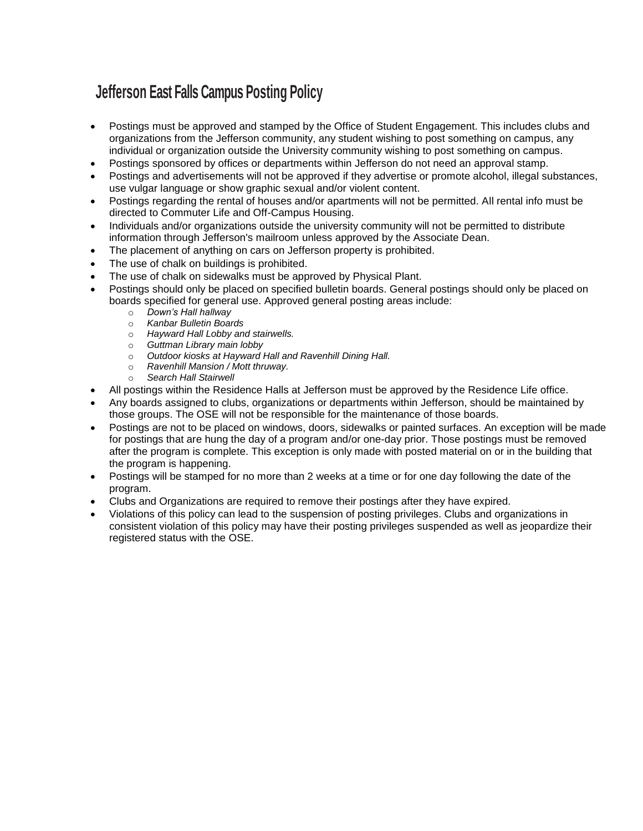## **Jefferson East Falls Campus Posting Policy**

- Postings must be approved and stamped by the Office of Student Engagement. This includes clubs and organizations from the Jefferson community, any student wishing to post something on campus, any individual or organization outside the University community wishing to post something on campus.
- Postings sponsored by offices or departments within Jefferson do not need an approval stamp.
- Postings and advertisements will not be approved if they advertise or promote alcohol, illegal substances, use vulgar language or show graphic sexual and/or violent content.
- Postings regarding the rental of houses and/or apartments will not be permitted. All rental info must be directed to Commuter Life and Off-Campus Housing.
- Individuals and/or organizations outside the university community will not be permitted to distribute information through Jefferson's mailroom unless approved by the Associate Dean.
- The placement of anything on cars on Jefferson property is prohibited.
- The use of chalk on buildings is prohibited.
- The use of chalk on sidewalks must be approved by Physical Plant.
- Postings should only be placed on specified bulletin boards. General postings should only be placed on boards specified for general use. Approved general posting areas include:
	- o *Down's Hall hallway*
	- o *Kanbar Bulletin Boards*
	- o *Hayward Hall Lobby and stairwells.*
	- o *Guttman Library main lobby*
	- o *Outdoor kiosks at Hayward Hall and Ravenhill Dining Hall.*
	- o *Ravenhill Mansion / Mott thruway.*
	- o *Search Hall Stairwell*
- All postings within the Residence Halls at Jefferson must be approved by the Residence Life office.
- Any boards assigned to clubs, organizations or departments within Jefferson, should be maintained by those groups. The OSE will not be responsible for the maintenance of those boards.
- Postings are not to be placed on windows, doors, sidewalks or painted surfaces. An exception will be made for postings that are hung the day of a program and/or one-day prior. Those postings must be removed after the program is complete. This exception is only made with posted material on or in the building that the program is happening.
- Postings will be stamped for no more than 2 weeks at a time or for one day following the date of the program.
- Clubs and Organizations are required to remove their postings after they have expired.
- Violations of this policy can lead to the suspension of posting privileges. Clubs and organizations in consistent violation of this policy may have their posting privileges suspended as well as jeopardize their registered status with the OSE.